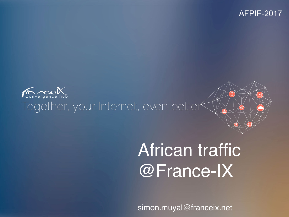#### AFPIF-2017



#### Together, your Internet, even better

# African traffic @France-IX

simon.muyal@franceix.net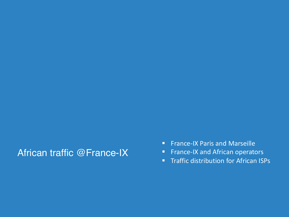#### African traffic @France-IX

- France-IX Paris and Marseille
- **FIMILE:** France-IX and African operators
- Traffic distribution for African ISPs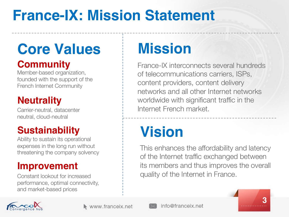## **France-IX: Mission Statement**

# **Core Values Mission**

#### **Community**

Member-based organization, founded with the support of the French Internet Community

#### **Neutrality**

Carrier-neutral, datacenter neutral, cloud-neutral

#### **Sustainability**

Ability to sustain its operational expenses in the long run without threatening the company solvency

#### **Improvement**

Constant lookout for increased performance, optimal connectivity, and market-based prices

France-IX interconnects several hundreds of telecommunications carriers, ISPs, content providers, content delivery networks and all other Internet networks worldwide with significant traffic in the Internet French market.

# **Vision**

This enhances the affordability and latency of the Internet traffic exchanged between its members and thus improves the overall quality of the Internet in France.





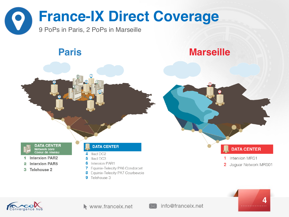

#### **Paris Marseille**







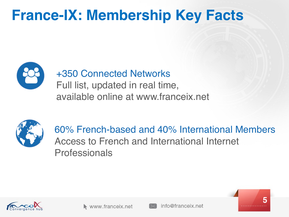## **France-IX: Membership Key Facts**



#### +350 Connected Networks

Full list, updated in real time, available online at www.franceix.net



60% French-based and 40% International Members Access to French and International Internet Professionals





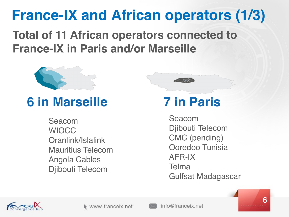## **France-IX and African operators (1/3)**

**Total of 11 African operators connected to France-IX in Paris and/or Marseille**



### **6 in Marseille 7 in Paris**

Seacom **WIOCC** Oranlink/Islalink Mauritius Telecom Angola Cables Djibouti Telecom



Seacom Djibouti Telecom CMC (pending) Ooredoo Tunisia AFR-IX **Telma** Gulfsat Madagascar





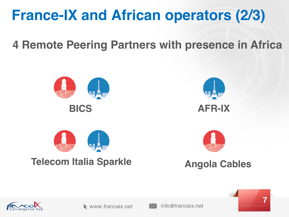## **France-IX and African operators (2/3)**

**4 Remote Peering Partners with presence in Africa**







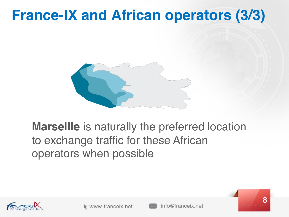### **France-IX and African operators (3/3)**



#### **Marseille** is naturally the preferred location to exchange traffic for these African operators when possible





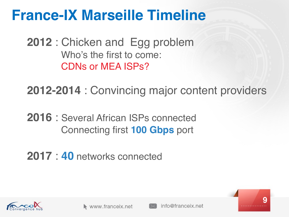### **France-IX Marseille Timeline**

**2012** : Chicken and Egg problem Who's the first to come: CDNs or MEA ISPs?

**2012-2014** : Convincing major content providers

**2016** : Several African ISPs connected Connecting first **100 Gbps** port

**2017** : **40** networks connected





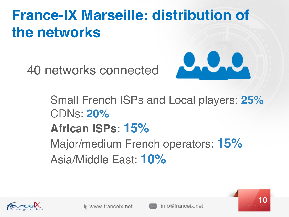## **France-IX Marseille: distribution of the networks**

40 networks connected



Small French ISPs and Local players: **25%** CDNs: **20% African ISPs: 15%** Major/medium French operators: **15%** Asia/Middle East: **10%**





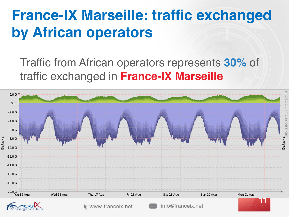## **France-IX Marseille: traffic exchanged by African operators**

Traffic from African operators represents **30%** of traffic exchanged in **France-IX Marseille** 

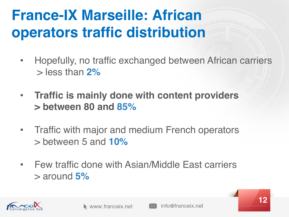## **France-IX Marseille: African operators traffic distribution**

- Hopefully, no traffic exchanged between African carriers > less than **2%**
- **Traffic is mainly done with content providers > between 80 and 85%**
- Traffic with major and medium French operators > between 5 and **10%**
- Few traffic done with Asian/Middle East carriers > around **5%**